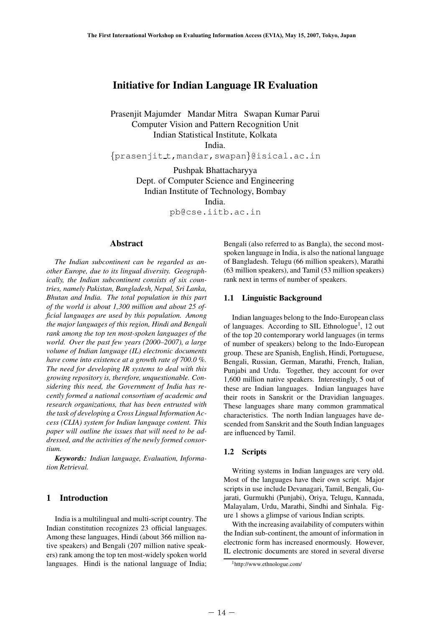# **Initiative for Indian Language IR Evaluation**

Prasenjit Majumder Mandar Mitra Swapan Kumar Parui Computer Vision and Pattern Recognition Unit Indian Statistical Institute, Kolkata India.

{prasenjit t,mandar,swapan}@isical.ac.in

Pushpak Bhattacharyya Dept. of Computer Science and Engineering Indian Institute of Technology, Bombay India.

pb@cse.iitb.ac.in

### **Abstract**

*The Indian subcontinent can be regarded as another Europe, due to its lingual diversity. Geographically, the Indian subcontinent consists of six countries, namely Pakistan, Bangladesh, Nepal, Sri Lanka, Bhutan and India. The total population in this part of the world is about 1,300 million and about 25 official languages are used by this population. Among the major languages of this region, Hindi and Bengali rank among the top ten most-spoken languages of the world. Over the past few years (2000–2007), a large volume of Indian language (IL) electronic documents have come into existence at a growth rate of 700.0 %. The need for developing IR systems to deal with this growing repository is, therefore, unquestionable. Considering this need, the Government of India has recently formed a national consortium of academic and research organizations, that has been entrusted with the task of developing a Cross Lingual Information Access (CLIA) system for Indian language content. This paper will outline the issues that will need to be addressed, and the activities of the newly formed consortium.* world. Over<br>volume of In<br>have come in<br>The need for<br>growing repo<br>sidering this<br>cently forme<br>research org<br>the task of de<br>cess (CLIA).<br>paper will of<br>dressed, and<br>tium.<br>**Keywords**<br>tion Retrieva<br>fon Retrieva<br>India is a 1<br>India

*Keywords: Indian language, Evaluation, Information Retrieval.*

## **1 Introduction**

India is a multilingual and multi-script country. The Indian constitution recognizes 23 official languages. Among these languages, Hindi (about 366 million native speakers) and Bengali (207 million native speakers) rank among the top ten most-widely spoken world languages. Hindi is the national language of India; Bengali (also referred to as Bangla), the second mostspoken language in India, is also the national language of Bangladesh. Telugu (66 million speakers), Marathi (63 million speakers), and Tamil (53 million speakers) rank next in terms of number of speakers.

#### **1.1 Linguistic Background**

Indian languages belong to the Indo-European class of languages. According to SIL Ethnologue<sup>1</sup>, 12 out of the top 20 contemporary world languages (in terms of number of speakers) belong to the Indo-European group. These are Spanish, English, Hindi, Portuguese, Bengali, Russian, German, Marathi, French, Italian, Punjabi and Urdu. Together, they account for over 1,600 million native speakers. Interestingly, 5 out of these are Indian languages. Indian languages have their roots in Sanskrit or the Dravidian languages. These languages share many common grammatical characteristics. The north Indian languages have descended from Sanskrit and the South Indian languages are influenced by Tamil.

#### **1.2 Scripts**

Writing systems in Indian languages are very old. Most of the languages have their own script. Major scripts in use include Devanagari, Tamil, Bengali, Gujarati, Gurmukhi (Punjabi), Oriya, Telugu, Kannada, Malayalam, Urdu, Marathi, Sindhi and Sinhala. Figure 1 shows a glimpse of various Indian scripts.

With the increasing availability of computers within the Indian sub-continent, the amount of information in electronic form has increased enormously. However, IL electronic documents are stored in several diverse

<sup>1</sup>http://www.ethnologue.com/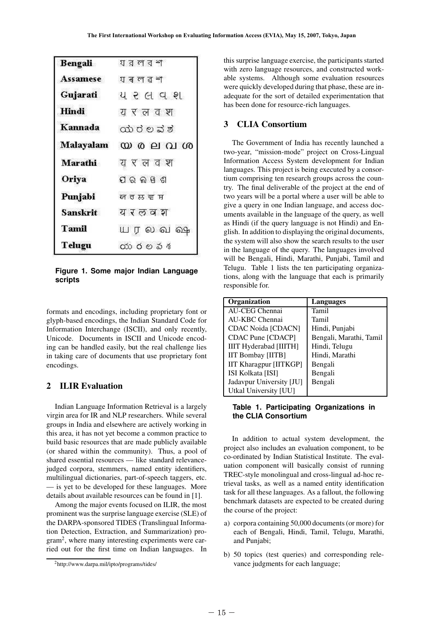| <b>Bengali</b>  | া র ল ব শ                      |
|-----------------|--------------------------------|
| <b>Assamese</b> | যৰলৱশ                          |
| Gujarati        | ય ૨ લ વ શ                      |
| Hindi           | य र ल व श                      |
| Kannada         | ಯರಲವರ                          |
| Malayalam       | $\omega$ @ e $\Omega$ $\omega$ |
| <b>Marathi</b>  | यरलवश                          |
| Oriya           | ପର ଲଞ୍ଗ                        |
| Punjabi         | <u>ਯਰਲਵਜ਼</u>                  |
| <b>Sanskrit</b> | यरलवश                          |
| <b>Tamil</b>    | யரலவதை                         |
| Telugu          | య రలవశ                         |

**Figure 1. Some major Indian Language scripts**

formats and encodings, including proprietary font or glyph-based encodings, the Indian Standard Code for Information Interchange (ISCII), and only recently, Unicode. Documents in ISCII and Unicode encoding can be handled easily, but the real challenge lies in taking care of documents that use proprietary font encodings.

## **2 ILIR Evaluation**

Indian Language Information Retrieval is a largely virgin area for IR and NLP researchers. While several groups in India and elsewhere are actively working in this area, it has not yet become a common practice to build basic resources that are made publicly available (or shared within the community). Thus, a pool of shared essential resources — like standard relevancejudged corpora, stemmers, named entity identifiers, multilingual dictionaries, part-of-speech taggers, etc. — is yet to be developed for these languages. More details about available resources can be found in [1]. Unicode. D<br>
ing can be h<br>
in taking car<br>
encodings.<br>
2 ILIR I<br>
Indian La<br>
virgin area for<br>
groups in Inc<br>
this area, it build basic r<br>
(or shared we shared essen<br>
judged corpo<br>
multilingual<br>
— is yet to l<br>
details about<br>

Among the major events focused on ILIR, the most prominent was the surprise language exercise (SLE) of the DARPA-sponsored TIDES (Translingual Information Detection, Extraction, and Summarization) program2, where many interesting experiments were carried out for the first time on Indian languages. In

this surprise language exercise, the participants started with zero language resources, and constructed workable systems. Although some evaluation resources were quickly developed during that phase, these are inadequate for the sort of detailed experimentation that has been done for resource-rich languages.

### **3 CLIA Consortium**

The Government of India has recently launched a two-year, "mission-mode" project on Cross-Lingual Information Access System development for Indian languages. This project is being executed by a consortium comprising ten research groups across the country. The final deliverable of the project at the end of two years will be a portal where a user will be able to give a query in one Indian language, and access documents available in the language of the query, as well as Hindi (if the query language is not Hindi) and English. In addition to displaying the original documents, the system will also show the search results to the user in the language of the query. The languages involved will be Bengali, Hindi, Marathi, Punjabi, Tamil and Telugu. Table 1 lists the ten participating organizations, along with the language that each is primarily responsible for.

| Organization                  | <b>Languages</b>        |
|-------------------------------|-------------------------|
| <b>AU-CEG Chennai</b>         | Tamil                   |
| AU-KBC Chennai                | Tamil                   |
| <b>CDAC Noida [CDACN]</b>     | Hindi, Punjabi          |
| CDAC Pune [CDACP]             | Bengali, Marathi, Tamil |
| <b>IIIT Hyderabad [IIITH]</b> | Hindi, Telugu           |
| <b>IIT Bombay [IITB]</b>      | Hindi, Marathi          |
| <b>IIT Kharagpur [IITKGP]</b> | Bengali                 |
| ISI Kolkata [ISI]             | Bengali                 |
| Jadavpur University [JU]      | Bengali                 |
| Utkal University [UU]         |                         |

#### **Table 1. Participating Organizations in the CLIA Consortium**

In addition to actual system development, the project also includes an evaluation component, to be co-ordinated by Indian Statistical Institute. The evaluation component will basically consist of running TREC-style monolingual and cross-lingual ad-hoc retrieval tasks, as well as a named entity identification task for all these languages. As a fallout, the following benchmark datasets are expected to be created during the course of the project:

- a) corpora containing 50,000 documents (or more) for each of Bengali, Hindi, Tamil, Telugu, Marathi, and Punjabi;
- b) 50 topics (test queries) and corresponding relevance judgments for each language;

<sup>2</sup>http://www.darpa.mil/ipto/programs/tides/